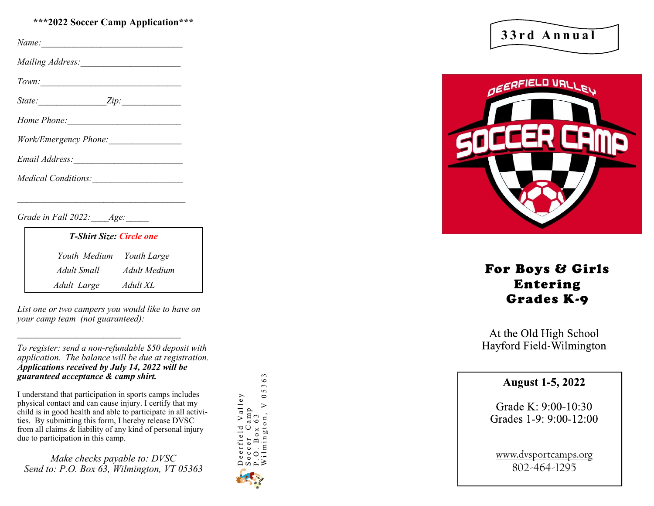#### **\*\*\*2022 Soccer Camp Application\*\*\***

*Name:* 

*Mailing Address:\_\_\_\_\_\_\_\_\_\_\_\_\_\_\_\_\_\_\_\_\_\_*

*Town:* 

*State:*  $\qquad \qquad \text{Zip:}$ 

*Home Phone:* 

*Work/Emergency Phone:\_\_\_\_\_\_\_\_\_\_\_\_\_\_\_\_*

*Email Address:\_\_\_\_\_\_\_\_\_\_\_\_\_\_\_\_\_\_\_\_\_\_\_\_*

*Medical Conditions:* 

*\_\_\_\_\_\_\_\_\_\_\_\_\_\_\_\_\_\_\_\_\_\_\_\_\_\_\_\_\_\_\_\_\_\_\_\_\_*

*Grade in Fall 2022: Age:* 

| <b>T-Shirt Size: Circle one</b> |              |
|---------------------------------|--------------|
| Youth Medium Youth Large        |              |
| Adult Small                     | Adult Medium |
| Adult Large                     | Adult XL     |

*List one or two campers you would like to have on your camp team (not guaranteed):*

*\_\_\_\_\_\_\_\_\_\_\_\_\_\_\_\_\_\_\_\_\_\_\_\_\_\_\_\_\_\_\_\_\_\_\_\_*

*To register: send a non -refundable \$50 deposit with application. The balance will be due at registration. Applications received by July 14, 2022 will be guaranteed acceptance & camp shirt.* 

I understand that participation in sports camps includes physical contact and can cause injury. I certify that my child is in good health and able to participate in all activities. By submitting this form, I hereby release DVSC from all claims & liability of any kind of personal injury due to participation in this camp.

*Make checks payable to: DVSC Send to: P.O. Box 63, Wilmington, VT 05363*



**3 3 r d A n n u a l**



## For Boys & Girls Entering Grades K - 9

At the Old High School Hayford Field-Wilmington

### **August 1-5, 2022**

Grade K: 9:00-10:30 Grades 1-9: 9:00-12:00

www.dvsportcamps.org 802 -464 -1295